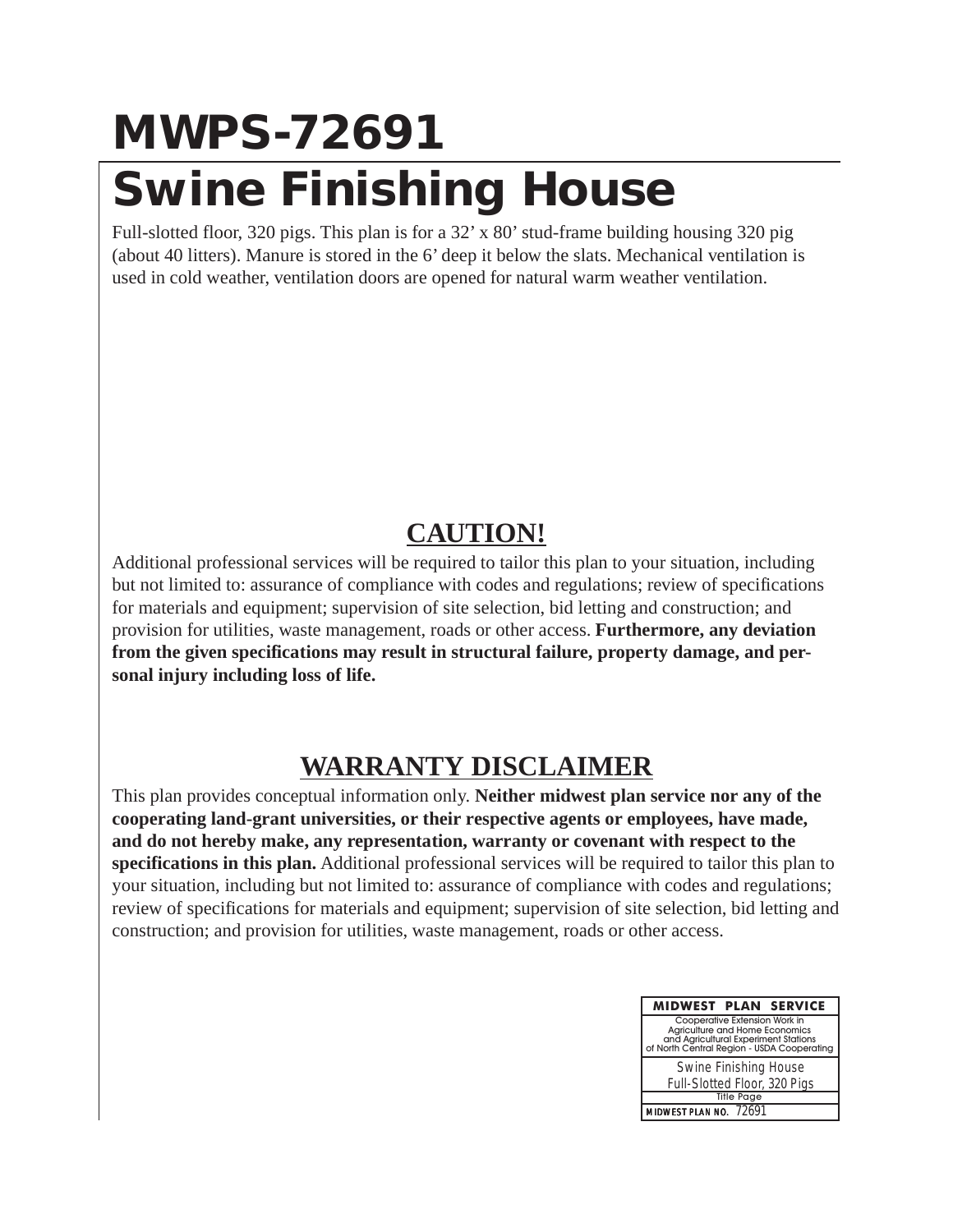#### **MWPS-72691 Swine Finishing House**

Full-slotted floor, 320 pigs. This plan is for a 32' x 80' stud-frame building housing 320 pig (about 40 litters). Manure is stored in the 6' deep it below the slats. Mechanical ventilation is used in cold weather, ventilation doors are opened for natural warm weather ventilation.

#### **CAUTION!**

Additional professional services will be required to tailor this plan to your situation, including but not limited to: assurance of compliance with codes and regulations; review of specifications for materials and equipment; supervision of site selection, bid letting and construction; and provision for utilities, waste management, roads or other access. **Furthermore, any deviation from the given specifications may result in structural failure, property damage, and personal injury including loss of life.**

#### **WARRANTY DISCLAIMER**

This plan provides conceptual information only. **Neither midwest plan service nor any of the cooperating land-grant universities, or their respective agents or employees, have made, and do not hereby make, any representation, warranty or covenant with respect to the specifications in this plan.** Additional professional services will be required to tailor this plan to your situation, including but not limited to: assurance of compliance with codes and regulations; review of specifications for materials and equipment; supervision of site selection, bid letting and construction; and provision for utilities, waste management, roads or other access.

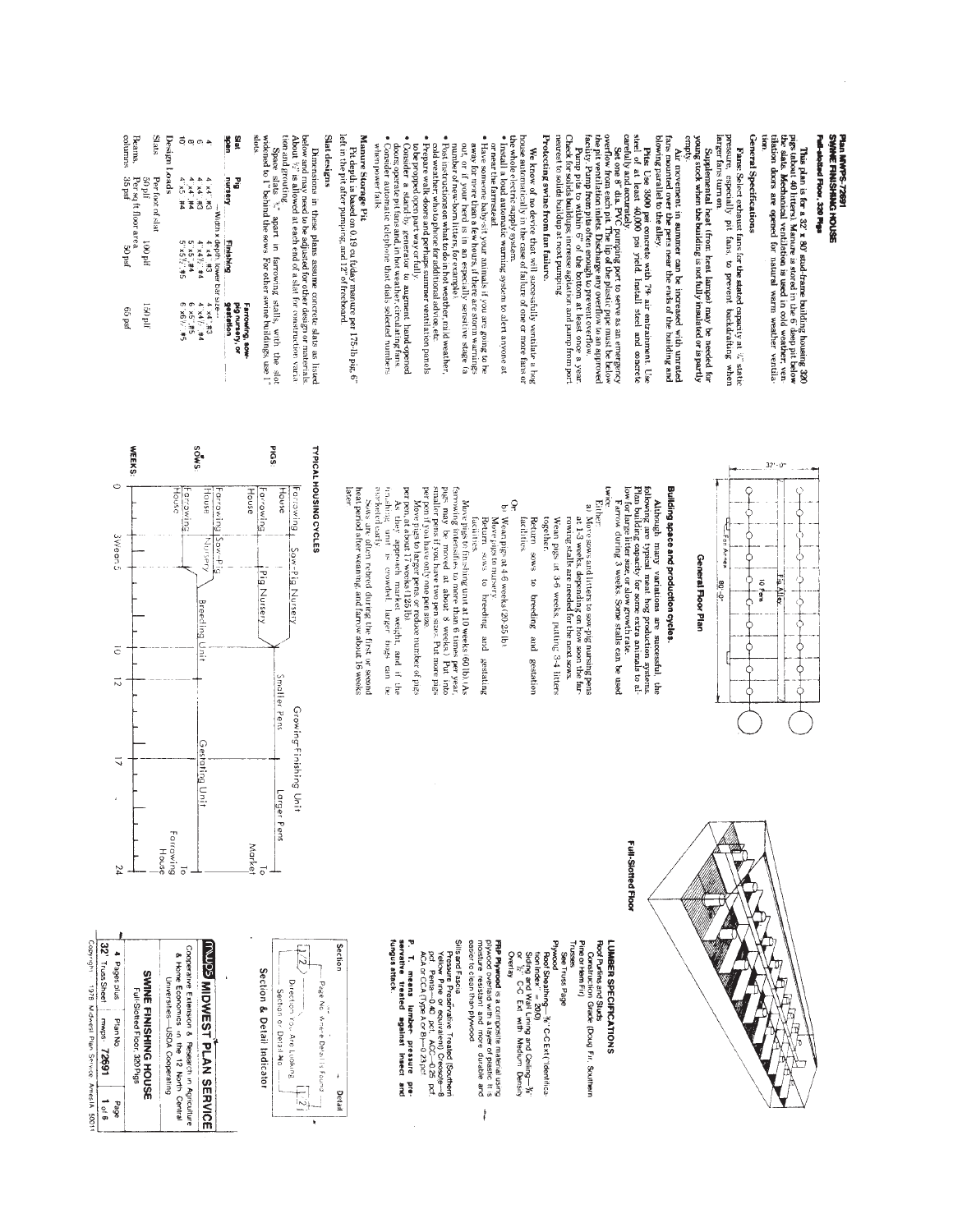#### Plan MWPS-72691<br>SMNHE FINISHANG HOUSE Full-stotted Floor, 320 Plgs

**This plan is for a 32' x 80' stud-frame building housing 320** is the state of the state  $\frac{1}{2}$  of  $\frac{1}{2}$  and  $\frac{1}{2}$  and  $\frac{1}{2}$  and  $\frac{1}{2}$  and  $\frac{1}{2}$  and  $\frac{1}{2}$  and  $\frac{1}{2}$  and  $\frac{1}{2}$  and  $\frac{1}{2$ E<br>Leg

## General Specifications

**Fans:** Select exhaust fans for the stated capacity at  $i$ , static pressure, especially pit fans, to prevent backdrafting when larger fans turn on

**PHIPS** young stock when the building is not fully insulated or is partly Supplemental heat (from heat lamps) may be needed for

blowing parallel to the alley. Air movement in summer can be increased with unrated fans mounted over the pens near the ends of the building and

Pits. Use 3500 psi concrete with  $7\pi$  air entrainment. Use steel of at least 40,000 psi yield. Install steel and concrete

carefully and accurately.<br>
carefully and accurately.<br>
overflow from each pit. The lip of the plassic pper mast be below<br>
overflow from each pit. The lip of the plassic pper mast be below<br>
the pit vertiliation inlets. Dezh

Check for solids buildups; increase agitation and pump from port nearest to solids buildup at next pumping.

# Protecting swine from fan failure.

We know of no device that will successfully ventilate a bag house of no device that will successfully ventilate a bag whole electric supply system.  $\sigma$  incomponents of the context of the context of the system  $\bullet$  Instal

or near the farmstead

- **•** Have someone baby-sit your animals if you are going to be<br>**•** Have someone baby-sit your animals if you are going to be<br>out or if your hed is in an explicitly sensitive stage failed<br>out or if your hed is in an explici
- 
- · Post instructions on what to do in hot weather, mild weather,
- Prepare walk doors and perhaps summer ventilation panels cold weather, who to phone for additional advice, etc.
- to be propped open part way or fully
- Consider a stand by generator to augment hand-opened<br>• Consignerate pit fans and, in hot weather, circulating fans<br>• Consider automatic telephone that dials selected numbers
- when power fails.

## Manure Storage Pit

Pit depth is based on 0.19 ou fidday manure per 175-lb pig, 6" left in the pit after pumping, and 12" of freeboard.

#### Slat designs

Dimensions in these plans assume concrete slats as listed<br>below and may need to be adjusted for other design or materials.<br>About  $\psi'$  is allowed at each end of a slat for construction varia-

tion and grouting  $\sum_{i=1}^{n}$  and  $\alpha$  are not construction variables as also  $\mathbb{R}^n$  , apart in farrowing stalls, with the slot shots of  $\mathbb{R}^n$  and the sows For other swine buildings, use  $\mathbb{R}^n$  shots

| ieig<br>$\overline{\phantom{a}}$ | š                |                                                        | pig nursery, or<br>Farrowing, sow- |  |
|----------------------------------|------------------|--------------------------------------------------------|------------------------------------|--|
| <b>UROS</b>                      | nursery          | <b>Environment</b>                                     | gestation                          |  |
|                                  |                  |                                                        |                                    |  |
| $\ddot{\phantom{a}}$             | C# 4x            | — Width x depth, lower barsize—<br>π3 4′ x4′ #3 4′ x4″ | <b>C#'.bx</b> .v                   |  |
|                                  | <b>CH 19 4</b>   | 74.747777                                              | 7# 4 54                            |  |
| $\infty$ $\infty$                | 4. x4 4.         |                                                        | $9 \times 5.74$                    |  |
| ã                                | 4"X5 #4          | 5. x 5. 3. 44<br>5. x 5. 44                            | $5*141.49x.9$                      |  |
| Design Loads                     |                  |                                                        |                                    |  |
| Stats                            | Per foot of slat |                                                        |                                    |  |
|                                  | ilq 0č           | 1100 pif                                               | 150 plf                            |  |

Beams,

50 plt<br>Per sq ft floor area<br>35 psf<br>35 psf

ped 99

columns



 $32 - 0$ "

### General Floor Plan

# Building space and production cycles.

Although many variations are successful, the dibutough many variations are successful, the dibutaling capacity for some production aystem building capacity for some stalls can be as  $\alpha$  and building capacity for some gra

#### CWICC Either

- a) Move sows and litters to sow-pig nursing pensing the state  $1-3$  weeks, depending on how soon the farmouring stalls are needed for the next sows.
- together Wean pigs at 3-6 weeks, putting 3-4 litters Return sows  $\ddot{s}$ breeding and
- facilities. gestation
- Or:<br>b: Wean pigs at 4-6 weeks (20-25 lb).<br>b: Wean pigs at 4-6 weeks (20-25 lb).
- Return Move pigs to nursery sows to breeding and
- farrowing intensifies to more than 6 times per year, page, may be moved at about 8 weeks.) Put into Move pigs to finishing unit at 10 weeks (60 lb). (As racuities. gestating
- per pen if you have only me pen size.<br>Move pigs to larger pens, or reduce number of pigs sinaller pens if you have two pen sizes. Put more pigs
- per pen, at about 17 weeks (125 lb).
- in shing marketed early As they approach market weight, and if the<br>shing unit is crowded. larger hogs can be
- $\mathcal{S}_{\text{MS}}$  are often rebred during the first or second heat period after we<br>aning, and farrow about 16 weeks later.

## TYPICAL HOUSING CYCLES





### Full-Slotted Floor

### Roof Purins and Studs UNBER SPECIFICATIONS

- Trusses<br>See Truss Page Pine or Hem Fir) Construction Grade (Doug Fir, Southern
- 
- Plywood<br>Roof Sheathing—3r °C-C Ext ("Identifica-<br>tion index" = 20,0)<br>tion index" = 20,0)
- Siding and Wall Lining and Ceiling— $\mathcal{H}$ " or  $\mathcal{V}_C$  C-C Ext with Medium Density
- Overlay
- easier to clean than plywood **FRP Plywood** is a composite material using<br>plywood overlaid with a layer of plastic It is<br>plywood overlaid with a layer of plastic It is Î
- Sills and Fascia
- Pressure Preseñvative Treated (Southerni<br>Yellow Pine or equivalent) Creosote—8<br>pcf, Penta—0.40 pct, ACC—0.25 pcf,<br>ACA or CCA (Type A or B)—0.23 pcf
- P. T. means lumber pressure<br>servative treated against insect **Lingus** attack. e<br>E



## Section & Detail Indicator

SWINE FINISHING HOUSE Plan No.

Cooperative Extension & Research in Agriculture<br>& Home Economics in the 12 North Central **INUDS MOWEST PLAN SERVICE** 

Universities-USDA Cooperating

# aoed

 $\begin{array}{|c|c|c|c|c|}\hline\mathbf{32} & \text{rrosssheet}&\text{mws}&\textbf{72691}&\textbf{1}\\ \hline \text{cosy} & \text{rays}&\text{Mewes} &\text{Pans Since Amesia} \\\hline \end{array}$ snicsaded #  $1<sub>0</sub>$  6 1009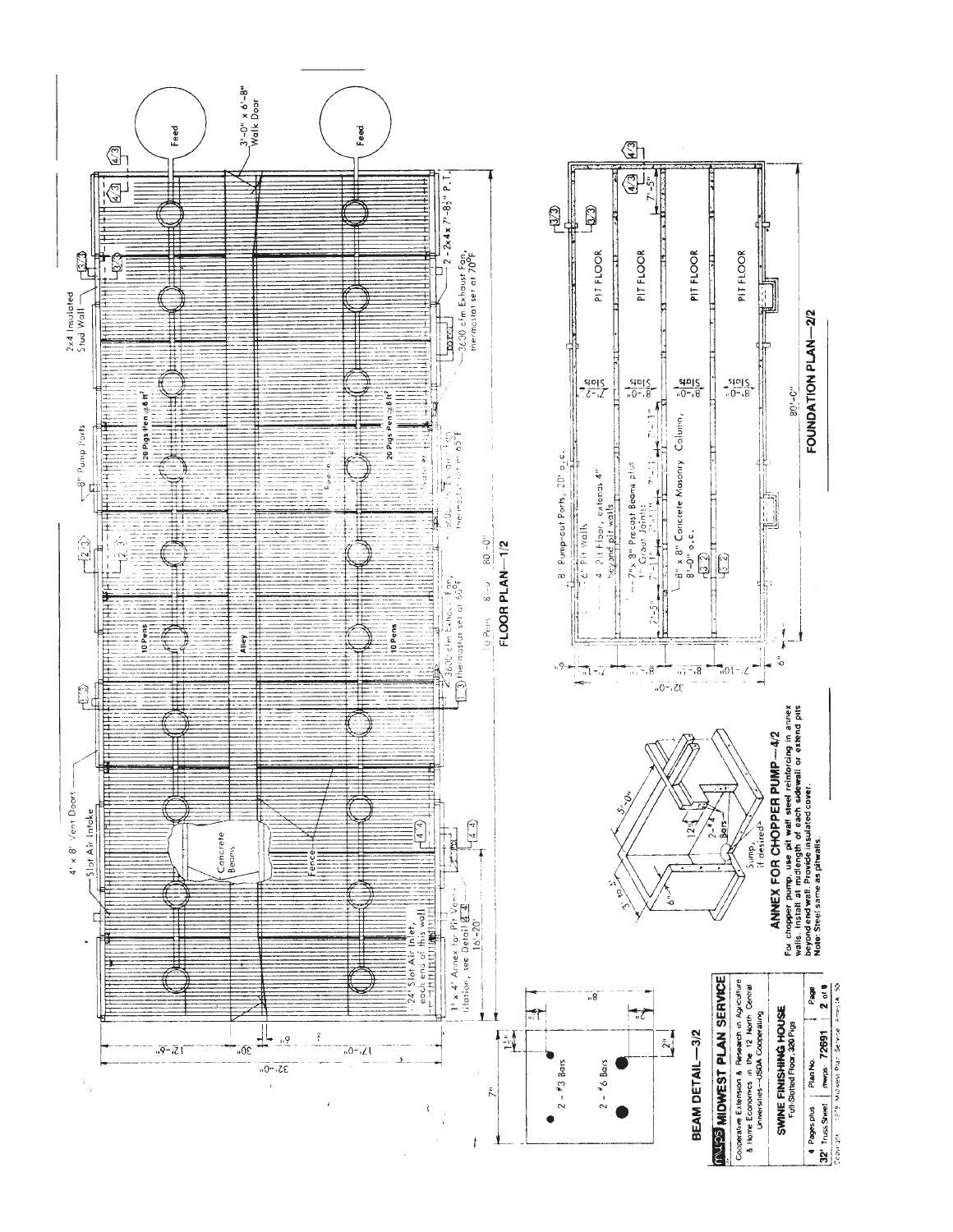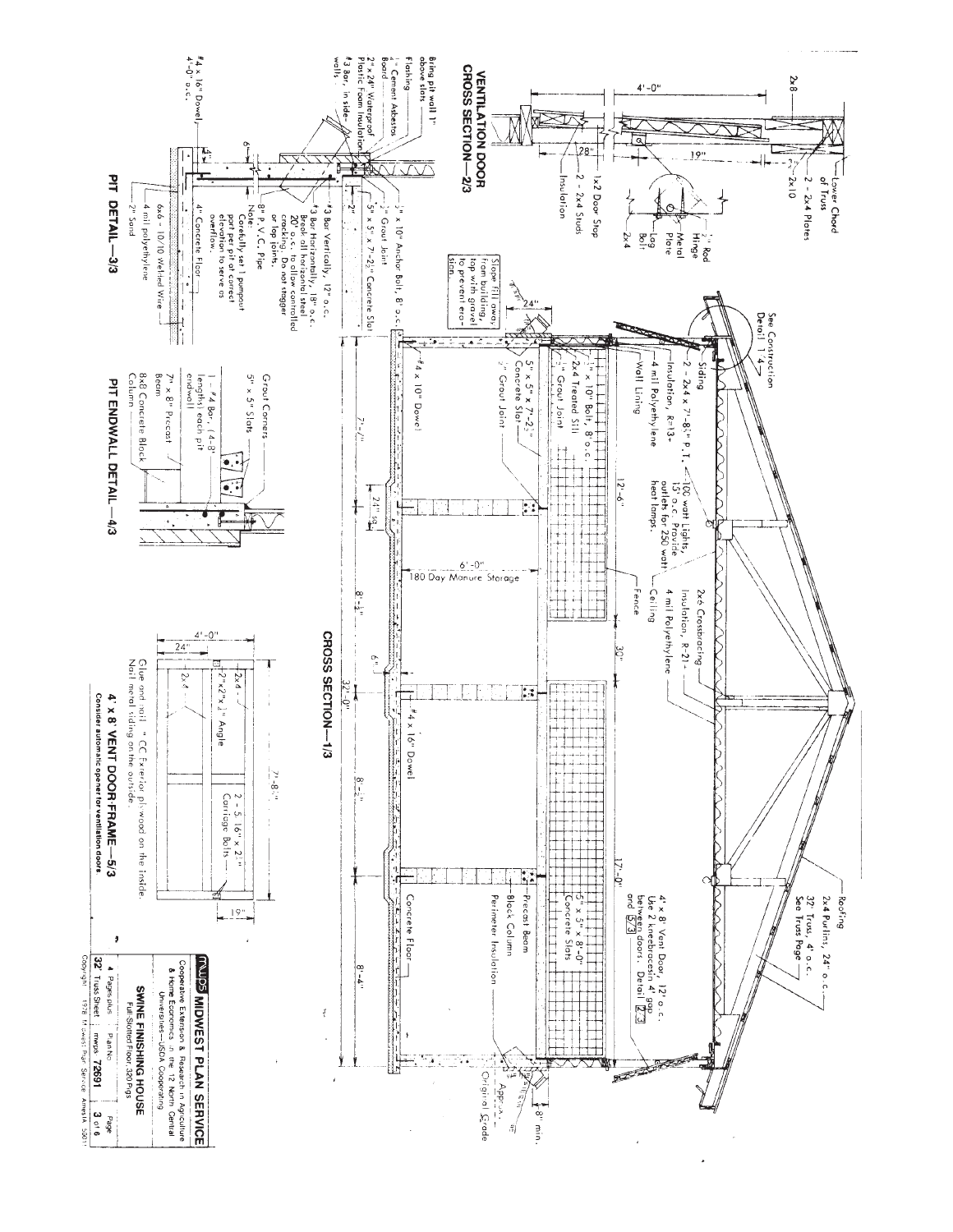